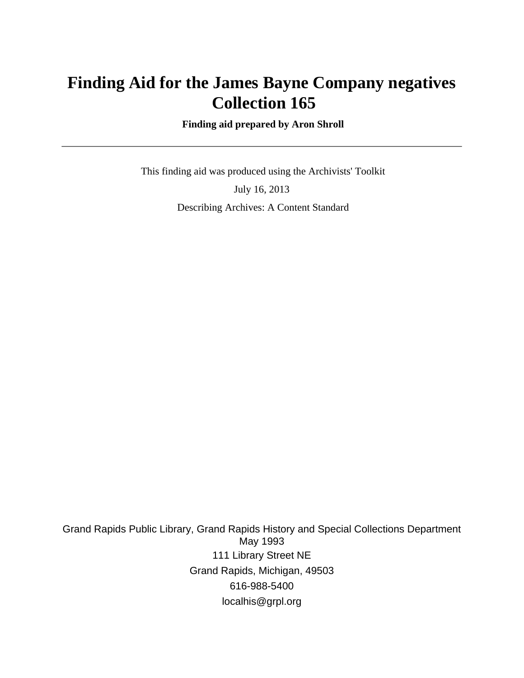# **Finding Aid for the James Bayne Company negatives Collection 165**

 **Finding aid prepared by Aron Shroll**

 This finding aid was produced using the Archivists' Toolkit July 16, 2013 Describing Archives: A Content Standard

Grand Rapids Public Library, Grand Rapids History and Special Collections Department May 1993 111 Library Street NE Grand Rapids, Michigan, 49503 616-988-5400 localhis@grpl.org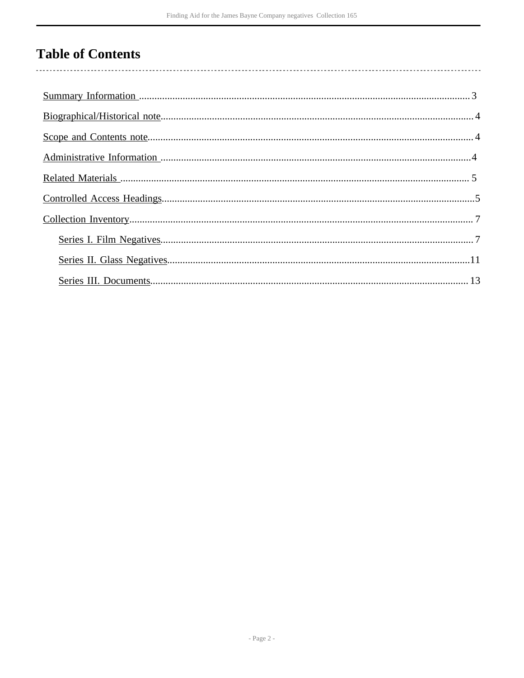# **Table of Contents**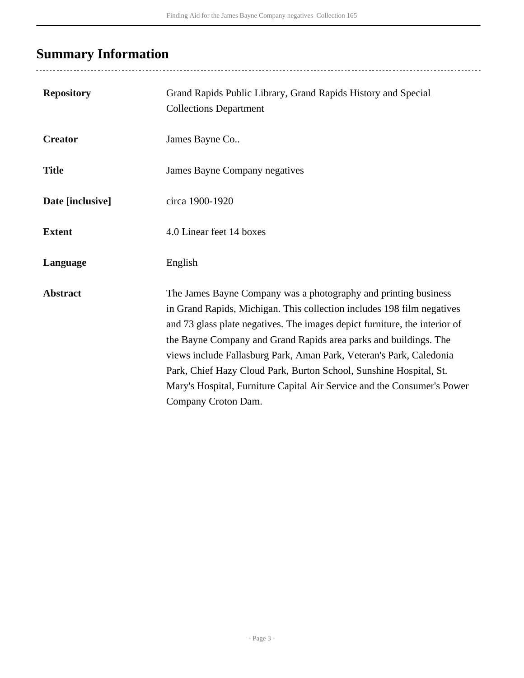# <span id="page-2-0"></span>**Summary Information**

| <b>Repository</b> | Grand Rapids Public Library, Grand Rapids History and Special<br><b>Collections Department</b>                                                                                                                                                                                                                                                                                                                                                                                                                                             |
|-------------------|--------------------------------------------------------------------------------------------------------------------------------------------------------------------------------------------------------------------------------------------------------------------------------------------------------------------------------------------------------------------------------------------------------------------------------------------------------------------------------------------------------------------------------------------|
| <b>Creator</b>    | James Bayne Co                                                                                                                                                                                                                                                                                                                                                                                                                                                                                                                             |
| <b>Title</b>      | James Bayne Company negatives                                                                                                                                                                                                                                                                                                                                                                                                                                                                                                              |
| Date [inclusive]  | circa 1900-1920                                                                                                                                                                                                                                                                                                                                                                                                                                                                                                                            |
| <b>Extent</b>     | 4.0 Linear feet 14 boxes                                                                                                                                                                                                                                                                                                                                                                                                                                                                                                                   |
| Language          | English                                                                                                                                                                                                                                                                                                                                                                                                                                                                                                                                    |
| <b>Abstract</b>   | The James Bayne Company was a photography and printing business<br>in Grand Rapids, Michigan. This collection includes 198 film negatives<br>and 73 glass plate negatives. The images depict furniture, the interior of<br>the Bayne Company and Grand Rapids area parks and buildings. The<br>views include Fallasburg Park, Aman Park, Veteran's Park, Caledonia<br>Park, Chief Hazy Cloud Park, Burton School, Sunshine Hospital, St.<br>Mary's Hospital, Furniture Capital Air Service and the Consumer's Power<br>Company Croton Dam. |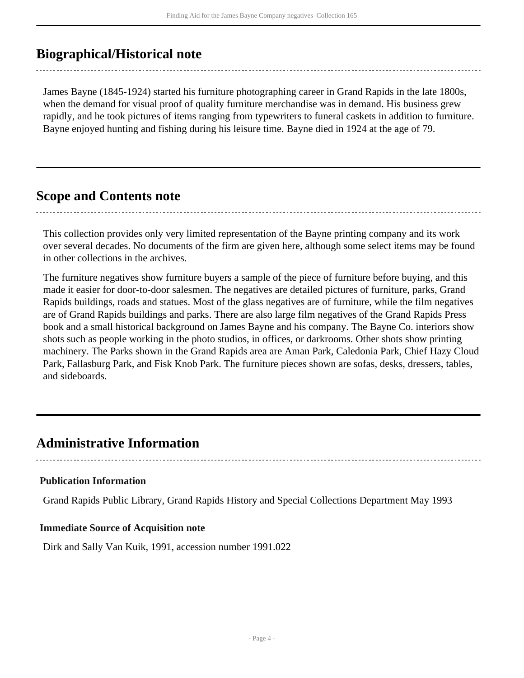### <span id="page-3-0"></span>**Biographical/Historical note**

James Bayne (1845-1924) started his furniture photographing career in Grand Rapids in the late 1800s, when the demand for visual proof of quality furniture merchandise was in demand. His business grew rapidly, and he took pictures of items ranging from typewriters to funeral caskets in addition to furniture. Bayne enjoyed hunting and fishing during his leisure time. Bayne died in 1924 at the age of 79.

#### <span id="page-3-1"></span>**Scope and Contents note**

This collection provides only very limited representation of the Bayne printing company and its work over several decades. No documents of the firm are given here, although some select items may be found in other collections in the archives.

The furniture negatives show furniture buyers a sample of the piece of furniture before buying, and this made it easier for door-to-door salesmen. The negatives are detailed pictures of furniture, parks, Grand Rapids buildings, roads and statues. Most of the glass negatives are of furniture, while the film negatives are of Grand Rapids buildings and parks. There are also large film negatives of the Grand Rapids Press book and a small historical background on James Bayne and his company. The Bayne Co. interiors show shots such as people working in the photo studios, in offices, or darkrooms. Other shots show printing machinery. The Parks shown in the Grand Rapids area are Aman Park, Caledonia Park, Chief Hazy Cloud Park, Fallasburg Park, and Fisk Knob Park. The furniture pieces shown are sofas, desks, dressers, tables, and sideboards.

### <span id="page-3-2"></span>**Administrative Information**

### **Publication Information**

Grand Rapids Public Library, Grand Rapids History and Special Collections Department May 1993

#### **Immediate Source of Acquisition note**

Dirk and Sally Van Kuik, 1991, accession number 1991.022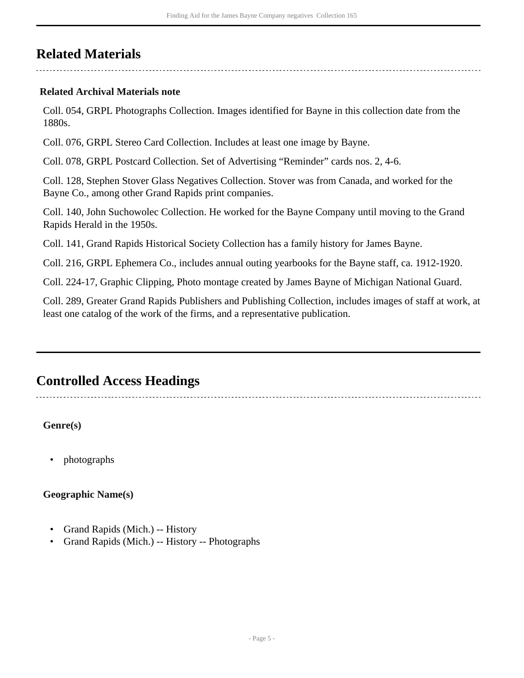## <span id="page-4-0"></span>**Related Materials**

#### **Related Archival Materials note**

Coll. 054, GRPL Photographs Collection. Images identified for Bayne in this collection date from the 1880s.

Coll. 076, GRPL Stereo Card Collection. Includes at least one image by Bayne.

Coll. 078, GRPL Postcard Collection. Set of Advertising "Reminder" cards nos. 2, 4-6.

Coll. 128, Stephen Stover Glass Negatives Collection. Stover was from Canada, and worked for the Bayne Co., among other Grand Rapids print companies.

Coll. 140, John Suchowolec Collection. He worked for the Bayne Company until moving to the Grand Rapids Herald in the 1950s.

Coll. 141, Grand Rapids Historical Society Collection has a family history for James Bayne.

Coll. 216, GRPL Ephemera Co., includes annual outing yearbooks for the Bayne staff, ca. 1912-1920.

Coll. 224-17, Graphic Clipping, Photo montage created by James Bayne of Michigan National Guard.

Coll. 289, Greater Grand Rapids Publishers and Publishing Collection, includes images of staff at work, at least one catalog of the work of the firms, and a representative publication.

### <span id="page-4-1"></span>**Controlled Access Headings**

**Genre(s)**

• photographs

**Geographic Name(s)**

- Grand Rapids (Mich.) -- History
- Grand Rapids (Mich.) -- History -- Photographs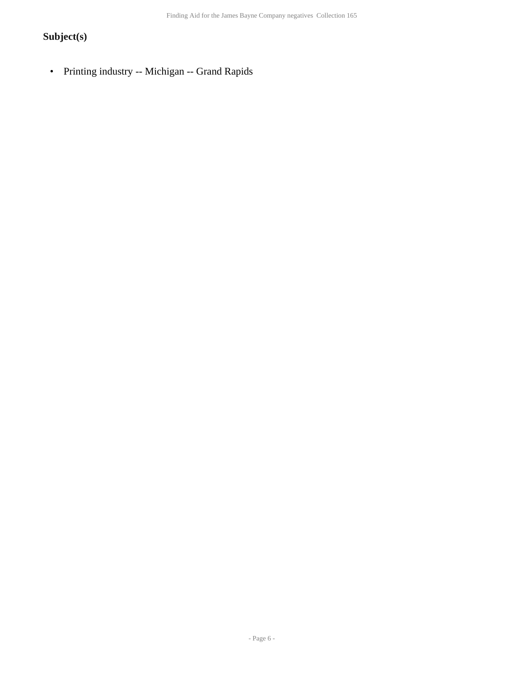#### **Subject(s)**

• Printing industry -- Michigan -- Grand Rapids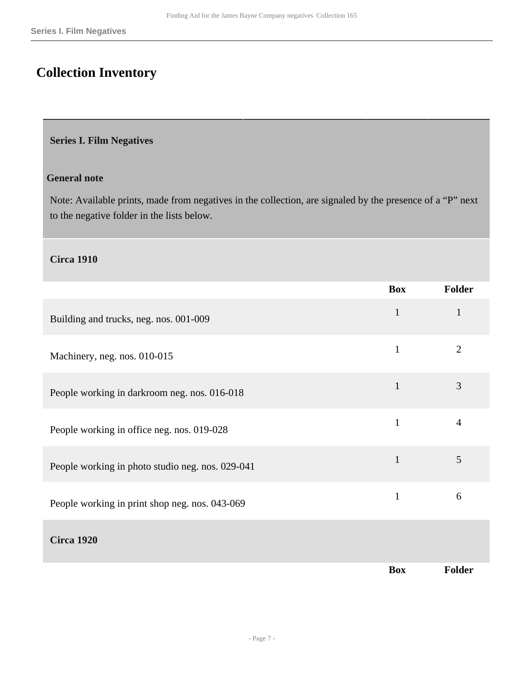## <span id="page-6-0"></span>**Collection Inventory**

#### <span id="page-6-1"></span>**Series I. Film Negatives**

#### **General note**

Note: Available prints, made from negatives in the collection, are signaled by the presence of a "P" next to the negative folder in the lists below.

#### **Circa 1910**

|                                                  | <b>Box</b>   | Folder         |
|--------------------------------------------------|--------------|----------------|
| Building and trucks, neg. nos. 001-009           | $\mathbf{1}$ | $\mathbf{1}$   |
| Machinery, neg. nos. 010-015                     | $\mathbf{1}$ | $\overline{2}$ |
| People working in darkroom neg. nos. 016-018     | $\mathbf{1}$ | 3              |
| People working in office neg. nos. 019-028       | $\mathbf{1}$ | $\overline{4}$ |
| People working in photo studio neg. nos. 029-041 | $\mathbf{1}$ | 5              |
| People working in print shop neg. nos. 043-069   | $\mathbf{1}$ | 6              |
| <b>Circa 1920</b>                                |              |                |
|                                                  | <b>Box</b>   | Folder         |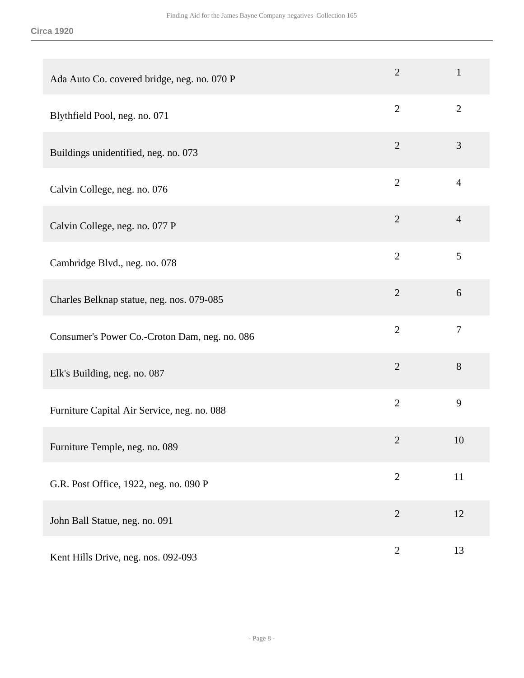| Ada Auto Co. covered bridge, neg. no. 070 P   | $\overline{2}$ | $\mathbf{1}$   |
|-----------------------------------------------|----------------|----------------|
| Blythfield Pool, neg. no. 071                 | $\overline{2}$ | $\overline{2}$ |
| Buildings unidentified, neg. no. 073          | $\overline{2}$ | 3              |
| Calvin College, neg. no. 076                  | $\overline{2}$ | $\overline{4}$ |
| Calvin College, neg. no. 077 P                | $\overline{2}$ | $\overline{4}$ |
| Cambridge Blvd., neg. no. 078                 | $\overline{2}$ | 5              |
| Charles Belknap statue, neg. nos. 079-085     | $\overline{2}$ | 6              |
| Consumer's Power Co.-Croton Dam, neg. no. 086 | $\overline{2}$ | $\tau$         |
| Elk's Building, neg. no. 087                  | $\overline{2}$ | 8              |
| Furniture Capital Air Service, neg. no. 088   | $\overline{2}$ | 9              |
| Furniture Temple, neg. no. 089                | $\overline{2}$ | 10             |
| G.R. Post Office, 1922, neg. no. 090 P        | $\overline{2}$ | 11             |
| John Ball Statue, neg. no. 091                | $\overline{2}$ | 12             |
| Kent Hills Drive, neg. nos. 092-093           | $\overline{2}$ | 13             |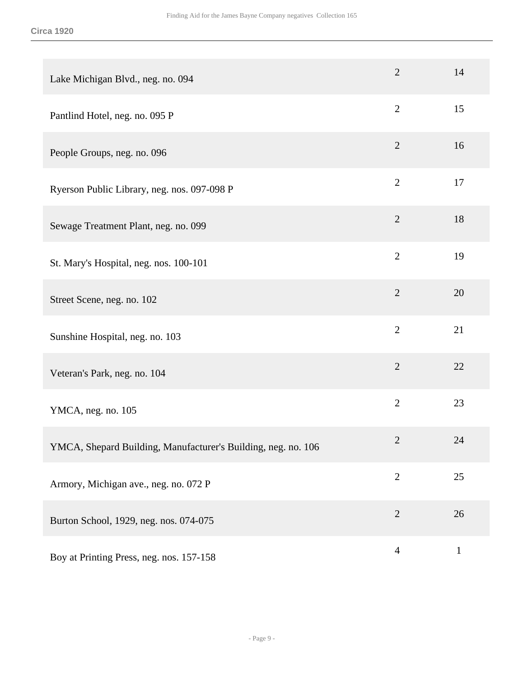| Lake Michigan Blvd., neg. no. 094                             | $\overline{2}$ | 14          |
|---------------------------------------------------------------|----------------|-------------|
| Pantlind Hotel, neg. no. 095 P                                | $\overline{2}$ | 15          |
| People Groups, neg. no. 096                                   | $\overline{2}$ | 16          |
| Ryerson Public Library, neg. nos. 097-098 P                   | $\overline{2}$ | 17          |
| Sewage Treatment Plant, neg. no. 099                          | $\overline{2}$ | 18          |
| St. Mary's Hospital, neg. nos. 100-101                        | $\overline{2}$ | 19          |
| Street Scene, neg. no. 102                                    | $\overline{2}$ | 20          |
| Sunshine Hospital, neg. no. 103                               | $\overline{2}$ | 21          |
| Veteran's Park, neg. no. 104                                  | $\overline{2}$ | 22          |
| YMCA, neg. no. 105                                            | $\overline{2}$ | 23          |
| YMCA, Shepard Building, Manufacturer's Building, neg. no. 106 | $\overline{2}$ | 24          |
| Armory, Michigan ave., neg. no. 072 P                         | $\overline{2}$ | 25          |
| Burton School, 1929, neg. nos. 074-075                        | $\overline{2}$ | 26          |
| Boy at Printing Press, neg. nos. 157-158                      | $\overline{4}$ | $\mathbf 1$ |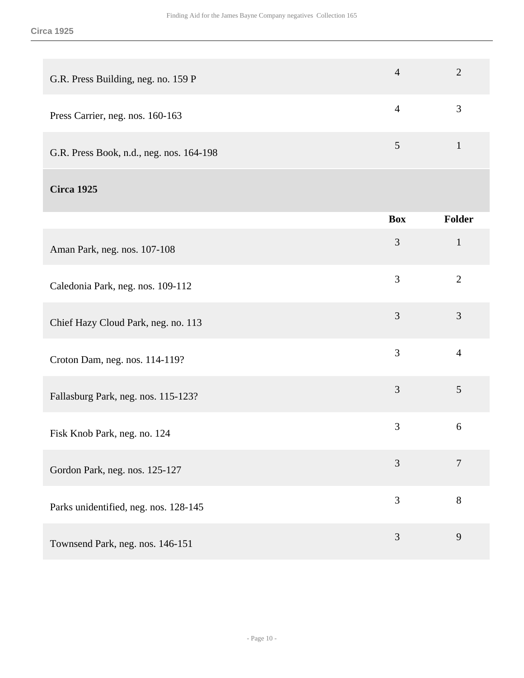| G.R. Press Building, neg. no. 159 P      | $\overline{4}$ | $\overline{2}$ |
|------------------------------------------|----------------|----------------|
| Press Carrier, neg. nos. 160-163         | $\overline{4}$ | 3              |
| G.R. Press Book, n.d., neg. nos. 164-198 | $\overline{5}$ | $\mathbf{1}$   |
| <b>Circa 1925</b>                        |                |                |
|                                          | <b>Box</b>     | Folder         |
| Aman Park, neg. nos. 107-108             | $\mathfrak{Z}$ | $\mathbf{1}$   |
| Caledonia Park, neg. nos. 109-112        | 3              | $\overline{2}$ |
| Chief Hazy Cloud Park, neg. no. 113      | 3              | 3              |
| Croton Dam, neg. nos. 114-119?           | 3              | $\overline{4}$ |
| Fallasburg Park, neg. nos. 115-123?      | 3              | 5              |
| Fisk Knob Park, neg. no. 124             | 3              | 6              |
| Gordon Park, neg. nos. 125-127           | 3              | $\overline{7}$ |
| Parks unidentified, neg. nos. 128-145    | 3              | $8\,$          |

Townsend Park, neg. nos. 146-151 3 9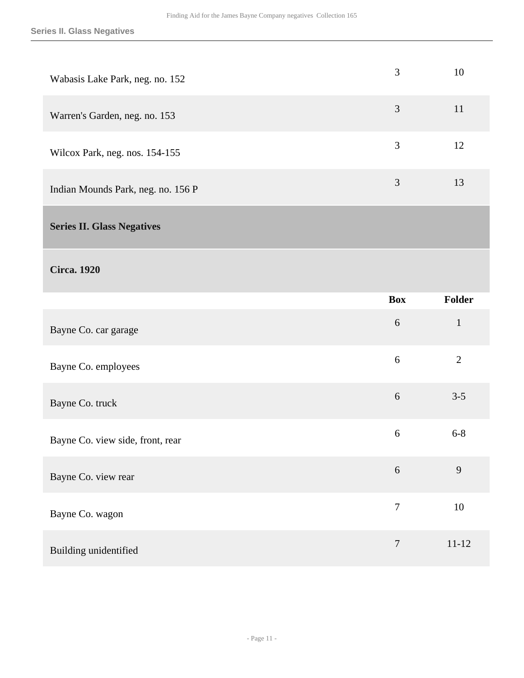<span id="page-10-0"></span>

| Wabasis Lake Park, neg. no. 152    | 3                | 10             |
|------------------------------------|------------------|----------------|
| Warren's Garden, neg. no. 153      | $\mathfrak{Z}$   | 11             |
| Wilcox Park, neg. nos. 154-155     | 3                | 12             |
| Indian Mounds Park, neg. no. 156 P | $\mathfrak{Z}$   | 13             |
| <b>Series II. Glass Negatives</b>  |                  |                |
| <b>Circa.</b> 1920                 |                  |                |
|                                    | <b>Box</b>       | <b>Folder</b>  |
|                                    |                  |                |
| Bayne Co. car garage               | 6                | $\mathbf{1}$   |
| Bayne Co. employees                | $6\,$            | $\overline{2}$ |
| Bayne Co. truck                    | $6\,$            | $3 - 5$        |
| Bayne Co. view side, front, rear   | 6                | $6 - 8$        |
| Bayne Co. view rear                | $\sqrt{6}$       | 9              |
| Bayne Co. wagon                    | $\boldsymbol{7}$ | 10             |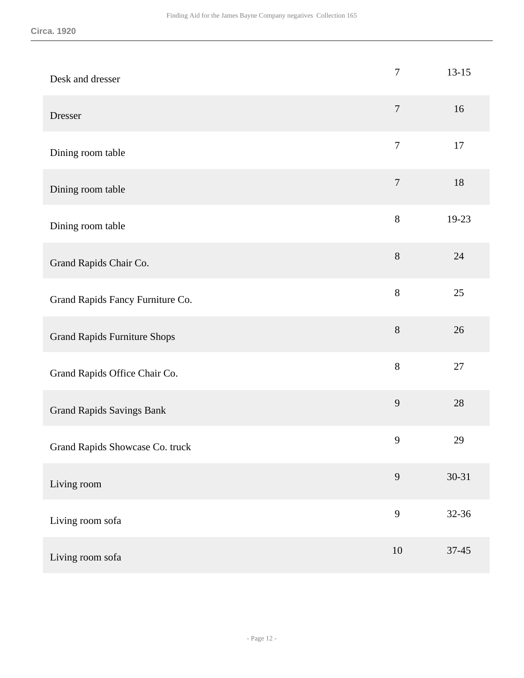| Desk and dresser                    | $\boldsymbol{7}$ | $13 - 15$ |
|-------------------------------------|------------------|-----------|
| Dresser                             | $\tau$           | 16        |
| Dining room table                   | $\boldsymbol{7}$ | 17        |
| Dining room table                   | $\tau$           | 18        |
| Dining room table                   | $8\,$            | 19-23     |
| Grand Rapids Chair Co.              | $8\,$            | 24        |
| Grand Rapids Fancy Furniture Co.    | 8                | 25        |
| <b>Grand Rapids Furniture Shops</b> | $8\,$            | 26        |
| Grand Rapids Office Chair Co.       | $8\,$            | 27        |
| <b>Grand Rapids Savings Bank</b>    | 9                | 28        |
| Grand Rapids Showcase Co. truck     | 9                | 29        |
| Living room                         | 9                | $30 - 31$ |
| Living room sofa                    | 9                | 32-36     |
| Living room sofa                    | $10\,$           | $37 - 45$ |